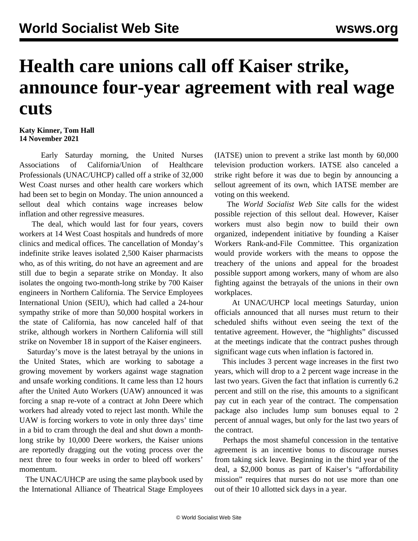## **Health care unions call off Kaiser strike, announce four-year agreement with real wage cuts**

## **Katy Kinner, Tom Hall 14 November 2021**

 Early Saturday morning, the United Nurses Associations of California/Union of Healthcare Professionals (UNAC/UHCP) called off a strike of 32,000 West Coast nurses and other health care workers which had been set to begin on Monday. The union announced a sellout deal which contains wage increases below inflation and other regressive measures.

 The deal, which would last for four years, covers workers at 14 West Coast hospitals and hundreds of more clinics and medical offices. The cancellation of Monday's indefinite strike leaves isolated 2,500 Kaiser pharmacists who, as of this writing, do not have an agreement and are still due to begin a separate strike on Monday. It also isolates the ongoing two-month-long strike by 700 Kaiser engineers in Northern California. The Service Employees International Union (SEIU), which had called a 24-hour sympathy strike of more than 50,000 hospital workers in the state of California, has now canceled half of that strike, although workers in Northern California will still strike on November 18 in support of the Kaiser engineers.

 Saturday's move is the latest betrayal by the unions in the United States, which are working to sabotage a growing movement by workers against wage stagnation and unsafe working conditions. It came less than 12 hours after the United Auto Workers (UAW) announced it was [forcing a snap re-vote](/en/articles/2021/11/13/deer-n13.html) of a contract at John Deere which workers had already voted to reject last month. While the UAW is forcing workers to vote in only three days' time in a bid to cram through the deal and shut down a monthlong strike by 10,000 Deere workers, the Kaiser unions are reportedly dragging out the voting process over the next three to four weeks in order to bleed off workers' momentum.

 The UNAC/UHCP are using the same playbook used by the International Alliance of Theatrical Stage Employees (IATSE) union to prevent a strike last month by 60,000 television production workers. IATSE also canceled a strike right before it was due to begin by announcing a sellout agreement of its own, which IATSE member are [voting on this weekend](/en/articles/2021/11/13/iats-n13.html).

 The *World Socialist Web Site* calls for the widest possible rejection of this sellout deal. However, Kaiser workers must also begin now to build their own organized, independent initiative by founding a Kaiser Workers Rank-and-File Committee. This organization would provide workers with the means to oppose the treachery of the unions and appeal for the broadest possible support among workers, many of whom are also fighting against the betrayals of the unions in their own workplaces.

 At UNAC/UHCP local meetings Saturday, union officials announced that all nurses must return to their scheduled shifts without even seeing the text of the tentative agreement. However, the "highlights" discussed at the meetings indicate that the contract pushes through significant wage cuts when inflation is factored in.

 This includes 3 percent wage increases in the first two years, which will drop to a 2 percent wage increase in the last two years. Given the fact that inflation is currently 6.2 percent and still on the rise, this amounts to a significant pay cut in each year of the contract. The compensation package also includes lump sum bonuses equal to 2 percent of annual wages, but only for the last two years of the contract.

 Perhaps the most shameful concession in the tentative agreement is an incentive bonus to discourage nurses from taking sick leave. Beginning in the third year of the deal, a \$2,000 bonus as part of Kaiser's "affordability mission" requires that nurses do not use more than one out of their 10 allotted sick days in a year.